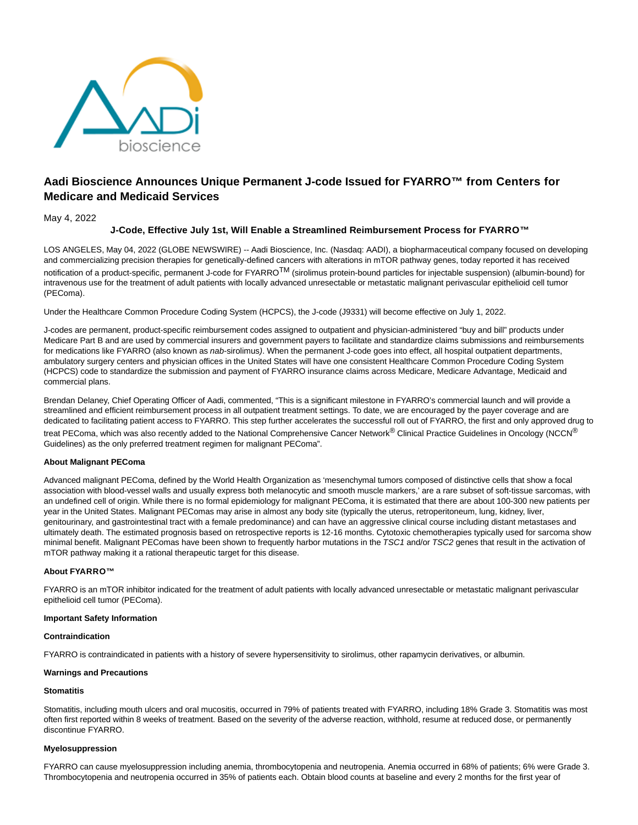

# **Aadi Bioscience Announces Unique Permanent J-code Issued for FYARRO™ from Centers for Medicare and Medicaid Services**

# May 4, 2022

# **J-Code, Effective July 1st, Will Enable a Streamlined Reimbursement Process for FYARRO™**

LOS ANGELES, May 04, 2022 (GLOBE NEWSWIRE) -- Aadi Bioscience, Inc. (Nasdaq: AADI), a biopharmaceutical company focused on developing and commercializing precision therapies for genetically-defined cancers with alterations in mTOR pathway genes, today reported it has received notification of a product-specific, permanent J-code for FYARRO<sup>TM</sup> (sirolimus protein-bound particles for injectable suspension) (albumin-bound) for intravenous use for the treatment of adult patients with locally advanced unresectable or metastatic malignant perivascular epithelioid cell tumor (PEComa).

Under the Healthcare Common Procedure Coding System (HCPCS), the J-code (J9331) will become effective on July 1, 2022.

J-codes are permanent, product-specific reimbursement codes assigned to outpatient and physician-administered "buy and bill" products under Medicare Part B and are used by commercial insurers and government payers to facilitate and standardize claims submissions and reimbursements for medications like FYARRO (also known as nab-sirolimus). When the permanent J-code goes into effect, all hospital outpatient departments, ambulatory surgery centers and physician offices in the United States will have one consistent Healthcare Common Procedure Coding System (HCPCS) code to standardize the submission and payment of FYARRO insurance claims across Medicare, Medicare Advantage, Medicaid and commercial plans.

Brendan Delaney, Chief Operating Officer of Aadi, commented, "This is a significant milestone in FYARRO's commercial launch and will provide a streamlined and efficient reimbursement process in all outpatient treatment settings. To date, we are encouraged by the payer coverage and are dedicated to facilitating patient access to FYARRO. This step further accelerates the successful roll out of FYARRO, the first and only approved drug to treat PEComa, which was also recently added to the National Comprehensive Cancer Network<sup>®</sup> Clinical Practice Guidelines in Oncology (NCCN<sup>®</sup> Guidelines) as the only preferred treatment regimen for malignant PEComa".

# **About Malignant PEComa**

Advanced malignant PEComa, defined by the World Health Organization as 'mesenchymal tumors composed of distinctive cells that show a focal association with blood-vessel walls and usually express both melanocytic and smooth muscle markers,' are a rare subset of soft-tissue sarcomas, with an undefined cell of origin. While there is no formal epidemiology for malignant PEComa, it is estimated that there are about 100-300 new patients per year in the United States. Malignant PEComas may arise in almost any body site (typically the uterus, retroperitoneum, lung, kidney, liver, genitourinary, and gastrointestinal tract with a female predominance) and can have an aggressive clinical course including distant metastases and ultimately death. The estimated prognosis based on retrospective reports is 12-16 months. Cytotoxic chemotherapies typically used for sarcoma show minimal benefit. Malignant PEComas have been shown to frequently harbor mutations in the TSC1 and/or TSC2 genes that result in the activation of mTOR pathway making it a rational therapeutic target for this disease.

#### **About FYARRO™**

FYARRO is an mTOR inhibitor indicated for the treatment of adult patients with locally advanced unresectable or metastatic malignant perivascular epithelioid cell tumor (PEComa).

## **Important Safety Information**

# **Contraindication**

FYARRO is contraindicated in patients with a history of severe hypersensitivity to sirolimus, other rapamycin derivatives, or albumin.

#### **Warnings and Precautions**

#### **Stomatitis**

Stomatitis, including mouth ulcers and oral mucositis, occurred in 79% of patients treated with FYARRO, including 18% Grade 3. Stomatitis was most often first reported within 8 weeks of treatment. Based on the severity of the adverse reaction, withhold, resume at reduced dose, or permanently discontinue FYARRO.

## **Myelosuppression**

FYARRO can cause myelosuppression including anemia, thrombocytopenia and neutropenia. Anemia occurred in 68% of patients; 6% were Grade 3. Thrombocytopenia and neutropenia occurred in 35% of patients each. Obtain blood counts at baseline and every 2 months for the first year of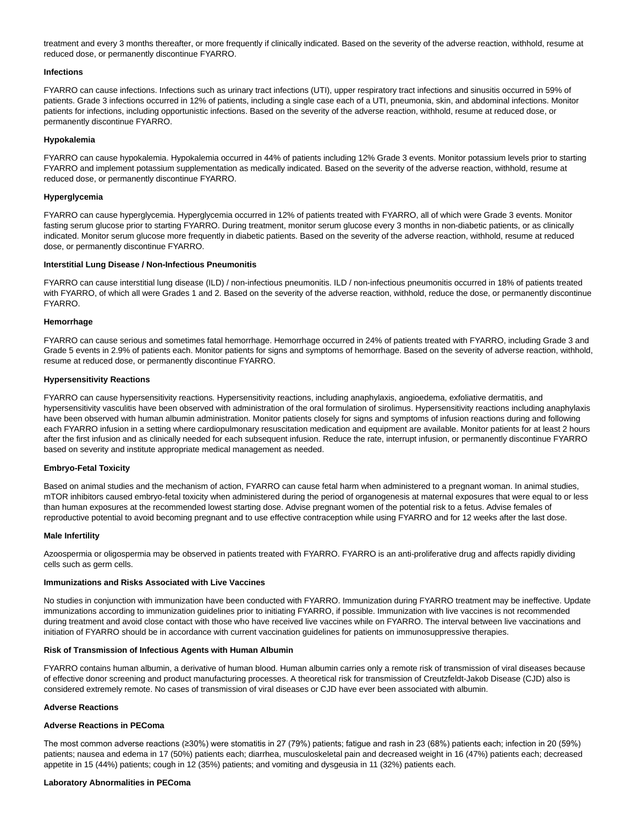treatment and every 3 months thereafter, or more frequently if clinically indicated. Based on the severity of the adverse reaction, withhold, resume at reduced dose, or permanently discontinue FYARRO.

# **Infections**

FYARRO can cause infections. Infections such as urinary tract infections (UTI), upper respiratory tract infections and sinusitis occurred in 59% of patients. Grade 3 infections occurred in 12% of patients, including a single case each of a UTI, pneumonia, skin, and abdominal infections. Monitor patients for infections, including opportunistic infections. Based on the severity of the adverse reaction, withhold, resume at reduced dose, or permanently discontinue FYARRO.

## **Hypokalemia**

FYARRO can cause hypokalemia. Hypokalemia occurred in 44% of patients including 12% Grade 3 events. Monitor potassium levels prior to starting FYARRO and implement potassium supplementation as medically indicated. Based on the severity of the adverse reaction, withhold, resume at reduced dose, or permanently discontinue FYARRO.

# **Hyperglycemia**

FYARRO can cause hyperglycemia. Hyperglycemia occurred in 12% of patients treated with FYARRO, all of which were Grade 3 events. Monitor fasting serum glucose prior to starting FYARRO. During treatment, monitor serum glucose every 3 months in non-diabetic patients, or as clinically indicated. Monitor serum glucose more frequently in diabetic patients. Based on the severity of the adverse reaction, withhold, resume at reduced dose, or permanently discontinue FYARRO.

#### **Interstitial Lung Disease / Non-Infectious Pneumonitis**

FYARRO can cause interstitial lung disease (ILD) / non-infectious pneumonitis. ILD / non-infectious pneumonitis occurred in 18% of patients treated with FYARRO, of which all were Grades 1 and 2. Based on the severity of the adverse reaction, withhold, reduce the dose, or permanently discontinue FYARRO.

# **Hemorrhage**

FYARRO can cause serious and sometimes fatal hemorrhage. Hemorrhage occurred in 24% of patients treated with FYARRO, including Grade 3 and Grade 5 events in 2.9% of patients each. Monitor patients for signs and symptoms of hemorrhage. Based on the severity of adverse reaction, withhold, resume at reduced dose, or permanently discontinue FYARRO.

## **Hypersensitivity Reactions**

FYARRO can cause hypersensitivity reactions. Hypersensitivity reactions, including anaphylaxis, angioedema, exfoliative dermatitis, and hypersensitivity vasculitis have been observed with administration of the oral formulation of sirolimus. Hypersensitivity reactions including anaphylaxis have been observed with human albumin administration. Monitor patients closely for signs and symptoms of infusion reactions during and following each FYARRO infusion in a setting where cardiopulmonary resuscitation medication and equipment are available. Monitor patients for at least 2 hours after the first infusion and as clinically needed for each subsequent infusion. Reduce the rate, interrupt infusion, or permanently discontinue FYARRO based on severity and institute appropriate medical management as needed.

# **Embryo-Fetal Toxicity**

Based on animal studies and the mechanism of action, FYARRO can cause fetal harm when administered to a pregnant woman. In animal studies, mTOR inhibitors caused embryo-fetal toxicity when administered during the period of organogenesis at maternal exposures that were equal to or less than human exposures at the recommended lowest starting dose. Advise pregnant women of the potential risk to a fetus. Advise females of reproductive potential to avoid becoming pregnant and to use effective contraception while using FYARRO and for 12 weeks after the last dose.

#### **Male Infertility**

Azoospermia or oligospermia may be observed in patients treated with FYARRO. FYARRO is an anti-proliferative drug and affects rapidly dividing cells such as germ cells.

#### **Immunizations and Risks Associated with Live Vaccines**

No studies in conjunction with immunization have been conducted with FYARRO. Immunization during FYARRO treatment may be ineffective. Update immunizations according to immunization guidelines prior to initiating FYARRO, if possible. Immunization with live vaccines is not recommended during treatment and avoid close contact with those who have received live vaccines while on FYARRO. The interval between live vaccinations and initiation of FYARRO should be in accordance with current vaccination guidelines for patients on immunosuppressive therapies.

#### **Risk of Transmission of Infectious Agents with Human Albumin**

FYARRO contains human albumin, a derivative of human blood. Human albumin carries only a remote risk of transmission of viral diseases because of effective donor screening and product manufacturing processes. A theoretical risk for transmission of Creutzfeldt-Jakob Disease (CJD) also is considered extremely remote. No cases of transmission of viral diseases or CJD have ever been associated with albumin.

# **Adverse Reactions**

# **Adverse Reactions in PEComa**

The most common adverse reactions (≥30%) were stomatitis in 27 (79%) patients; fatigue and rash in 23 (68%) patients each; infection in 20 (59%) patients; nausea and edema in 17 (50%) patients each; diarrhea, musculoskeletal pain and decreased weight in 16 (47%) patients each; decreased appetite in 15 (44%) patients; cough in 12 (35%) patients; and vomiting and dysgeusia in 11 (32%) patients each.

#### **Laboratory Abnormalities in PEComa**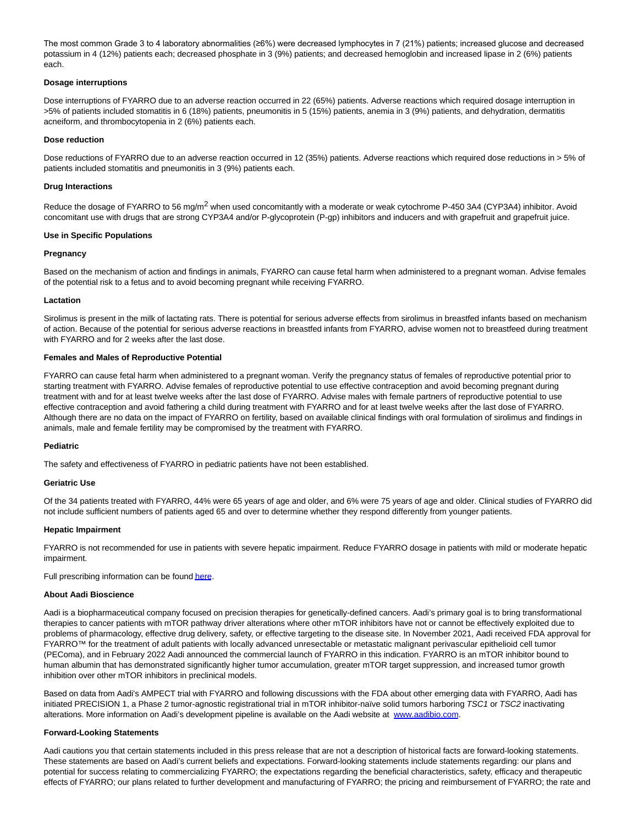The most common Grade 3 to 4 laboratory abnormalities (≥6%) were decreased lymphocytes in 7 (21%) patients; increased glucose and decreased potassium in 4 (12%) patients each; decreased phosphate in 3 (9%) patients; and decreased hemoglobin and increased lipase in 2 (6%) patients each.

# **Dosage interruptions**

Dose interruptions of FYARRO due to an adverse reaction occurred in 22 (65%) patients. Adverse reactions which required dosage interruption in >5% of patients included stomatitis in 6 (18%) patients, pneumonitis in 5 (15%) patients, anemia in 3 (9%) patients, and dehydration, dermatitis acneiform, and thrombocytopenia in 2 (6%) patients each.

# **Dose reduction**

Dose reductions of FYARRO due to an adverse reaction occurred in 12 (35%) patients. Adverse reactions which required dose reductions in > 5% of patients included stomatitis and pneumonitis in 3 (9%) patients each.

# **Drug Interactions**

Reduce the dosage of FYARRO to 56 mg/m<sup>2</sup> when used concomitantly with a moderate or weak cytochrome P-450 3A4 (CYP3A4) inhibitor. Avoid concomitant use with drugs that are strong CYP3A4 and/or P-glycoprotein (P-gp) inhibitors and inducers and with grapefruit and grapefruit juice.

# **Use in Specific Populations**

# **Pregnancy**

Based on the mechanism of action and findings in animals, FYARRO can cause fetal harm when administered to a pregnant woman. Advise females of the potential risk to a fetus and to avoid becoming pregnant while receiving FYARRO.

# **Lactation**

Sirolimus is present in the milk of lactating rats. There is potential for serious adverse effects from sirolimus in breastfed infants based on mechanism of action. Because of the potential for serious adverse reactions in breastfed infants from FYARRO, advise women not to breastfeed during treatment with FYARRO and for 2 weeks after the last dose.

# **Females and Males of Reproductive Potential**

FYARRO can cause fetal harm when administered to a pregnant woman. Verify the pregnancy status of females of reproductive potential prior to starting treatment with FYARRO. Advise females of reproductive potential to use effective contraception and avoid becoming pregnant during treatment with and for at least twelve weeks after the last dose of FYARRO. Advise males with female partners of reproductive potential to use effective contraception and avoid fathering a child during treatment with FYARRO and for at least twelve weeks after the last dose of FYARRO. Although there are no data on the impact of FYARRO on fertility, based on available clinical findings with oral formulation of sirolimus and findings in animals, male and female fertility may be compromised by the treatment with FYARRO.

# **Pediatric**

The safety and effectiveness of FYARRO in pediatric patients have not been established.

#### **Geriatric Use**

Of the 34 patients treated with FYARRO, 44% were 65 years of age and older, and 6% were 75 years of age and older. Clinical studies of FYARRO did not include sufficient numbers of patients aged 65 and over to determine whether they respond differently from younger patients.

#### **Hepatic Impairment**

FYARRO is not recommended for use in patients with severe hepatic impairment. Reduce FYARRO dosage in patients with mild or moderate hepatic impairment.

Full prescribing information can be foun[d here.](https://www.globenewswire.com/Tracker?data=J6o0kEJS2j4ZNS25YEbwrs6uaQDdFjDTa2hWLOkpW6biU14TjU34BmNZ-b5qc2tq)

## **About Aadi Bioscience**

Aadi is a biopharmaceutical company focused on precision therapies for genetically-defined cancers. Aadi's primary goal is to bring transformational therapies to cancer patients with mTOR pathway driver alterations where other mTOR inhibitors have not or cannot be effectively exploited due to problems of pharmacology, effective drug delivery, safety, or effective targeting to the disease site. In November 2021, Aadi received FDA approval for FYARRO™ for the treatment of adult patients with locally advanced unresectable or metastatic malignant perivascular epithelioid cell tumor (PEComa), and in February 2022 Aadi announced the commercial launch of FYARRO in this indication. FYARRO is an mTOR inhibitor bound to human albumin that has demonstrated significantly higher tumor accumulation, greater mTOR target suppression, and increased tumor growth inhibition over other mTOR inhibitors in preclinical models.

Based on data from Aadi's AMPECT trial with FYARRO and following discussions with the FDA about other emerging data with FYARRO, Aadi has initiated PRECISION 1, a Phase 2 tumor-agnostic registrational trial in mTOR inhibitor-naïve solid tumors harboring TSC1 or TSC2 inactivating alterations. More information on Aadi's development pipeline is available on the Aadi website at [www.aadibio.com.](https://www.globenewswire.com/Tracker?data=pMUD8KyBuyQiMPh3WVSZ_7dUr_pDOoVYrc3IVVrXzz1gKrm85uJ_z_KCquoH5z-ibNXL0CEZzzroCjK1MiwbIg==)

## **Forward-Looking Statements**

Aadi cautions you that certain statements included in this press release that are not a description of historical facts are forward-looking statements. These statements are based on Aadi's current beliefs and expectations. Forward-looking statements include statements regarding: our plans and potential for success relating to commercializing FYARRO; the expectations regarding the beneficial characteristics, safety, efficacy and therapeutic effects of FYARRO; our plans related to further development and manufacturing of FYARRO; the pricing and reimbursement of FYARRO; the rate and